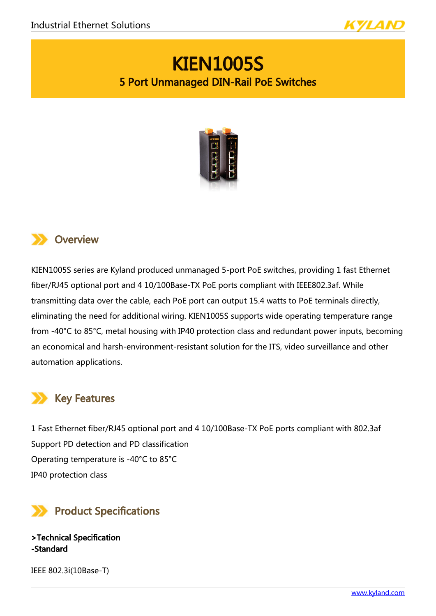

# KIEN1005S 5 Port Unmanaged DIN-Rail PoE Switches



### **XX** Overview

KIEN1005S series are Kyland produced unmanaged 5-port PoE switches, providing 1 fast Ethernet fiber/RJ45 optional port and 4 10/100Base-TX PoE ports compliant with IEEE802.3af. While transmitting data over the cable, each PoE port can output 15.4 watts to PoE terminals directly, eliminating the need for additional wiring. KIEN1005S supports wide operating temperature range from -40°C to 85°C, metal housing with IP40 protection class and redundant power inputs, becoming an economical and harsh-environment-resistant solution for the ITS, video surveillance and other automation applications.

### Key Features

1 Fast Ethernet fiber/RJ45 optional port and 4 10/100Base-TX PoE ports compliant with 802.3af Support PD detection and PD classification Operating temperature is -40°C to 85°C IP40 protection class



>Technical Specification -Standard

IEEE 802.3i(10Base-T)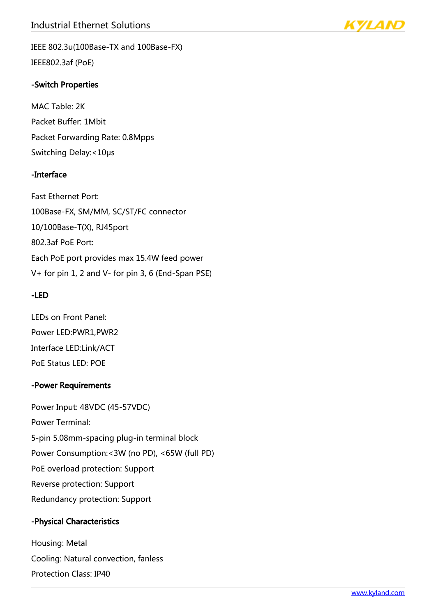

IEEE 802.3u(100Base-TX and 100Base-FX) IEEE802.3af (PoE)

#### -Switch Properties

MAC Table: 2K Packet Buffer: 1Mbit Packet Forwarding Rate: 0.8Mpps Switching Delay:<10μs

#### -Interface

Fast Ethernet Port: 100Base-FX, SM/MM, SC/ST/FC connector 10/100Base-T(X), RJ45port 802.3af PoE Port: Each PoE port provides max 15.4W feed power V+ for pin 1, 2 and V- for pin 3, 6 (End-Span PSE)

#### -LED

LEDs on Front Panel: Power LED:PWR1,PWR2 Interface LED:Link/ACT PoE Status LED: POE

#### -Power Requirements

Power Input: 48VDC (45-57VDC) Power Terminal: 5-pin 5.08mm-spacing plug-in terminal block Power Consumption:<3W (no PD), <65W (full PD) PoE overload protection: Support Reverse protection: Support Redundancy protection: Support

#### -Physical Characteristics

Housing: Metal Cooling: Natural convection, fanless Protection Class: IP40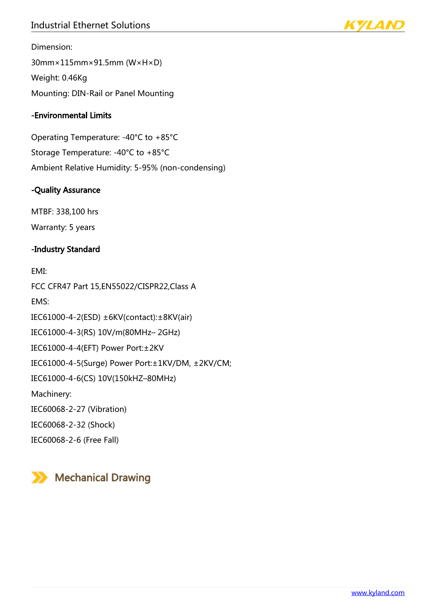### Industrial Ethernet Solutions



Dimension:

30mm×115mm×91.5mm (W×H×D) Weight: 0.46Kg Mounting: DIN-Rail or Panel Mounting

#### -Environmental Limits

Operating Temperature: -40°C to +85°C Storage Temperature: -40°C to +85°C Ambient Relative Humidity: 5-95% (non-condensing)

#### -Quality Assurance

MTBF: 338,100 hrs Warranty: 5 years

#### -Industry Standard

EMI: FCC CFR47 Part 15,EN55022/CISPR22,Class A EMS: IEC61000-4-2(ESD) ±6KV(contact):±8KV(air) IEC61000-4-3(RS) 10V/m(80MHz– 2GHz) IEC61000-4-4(EFT) Power Port:±2KV IEC61000-4-5(Surge) Power Port:±1KV/DM, ±2KV/CM; IEC61000-4-6(CS) 10V(150kHZ–80MHz) Machinery: IEC60068-2-27 (Vibration) IEC60068-2-32 (Shock) IEC60068-2-6 (Free Fall)

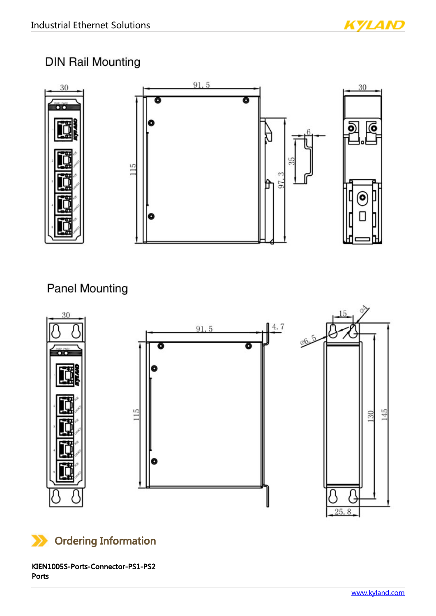

### **DIN Rail Mounting**



## **Panel Mounting**





KIEN1005S-Ports-Connector-PS1-PS2 Ports